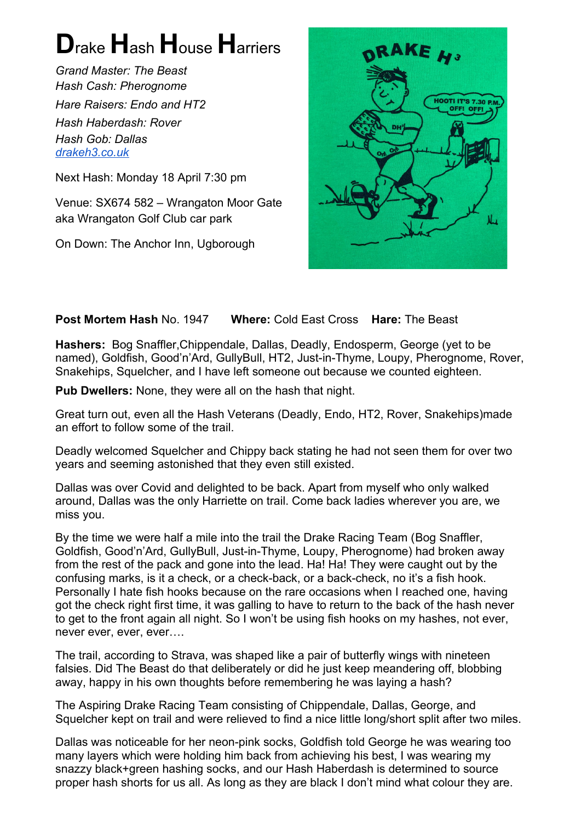## **D**rake **H**ash **H**ouse **H**arriers

*Grand Master: The Beast Hash Cash: Pherognome Hare Raisers: Endo and HT2 Hash Haberdash: Rover Hash Gob: Dallas [drakeh3.co.uk](http://drakeh3.co.uk/)*

Next Hash: Monday 18 April 7:30 pm

Venue: SX674 582 – Wrangaton Moor Gate aka Wrangaton Golf Club car park

On Down: The Anchor Inn, Ugborough



## **Post Mortem Hash** No. 1947 **Where:** Cold East Cross **Hare:** The Beast

**Hashers:** Bog Snaffler,Chippendale, Dallas, Deadly, Endosperm, George (yet to be named), Goldfish, Good'n'Ard, GullyBull, HT2, Just-in-Thyme, Loupy, Pherognome, Rover, Snakehips, Squelcher, and I have left someone out because we counted eighteen.

**Pub Dwellers:** None, they were all on the hash that night.

Great turn out, even all the Hash Veterans (Deadly, Endo, HT2, Rover, Snakehips)made an effort to follow some of the trail.

Deadly welcomed Squelcher and Chippy back stating he had not seen them for over two years and seeming astonished that they even still existed.

Dallas was over Covid and delighted to be back. Apart from myself who only walked around, Dallas was the only Harriette on trail. Come back ladies wherever you are, we miss you.

By the time we were half a mile into the trail the Drake Racing Team (Bog Snaffler, Goldfish, Good'n'Ard, GullyBull, Just-in-Thyme, Loupy, Pherognome) had broken away from the rest of the pack and gone into the lead. Ha! Ha! They were caught out by the confusing marks, is it a check, or a check-back, or a back-check, no it's a fish hook. Personally I hate fish hooks because on the rare occasions when I reached one, having got the check right first time, it was galling to have to return to the back of the hash never to get to the front again all night. So I won't be using fish hooks on my hashes, not ever, never ever, ever, ever….

The trail, according to Strava, was shaped like a pair of butterfly wings with nineteen falsies. Did The Beast do that deliberately or did he just keep meandering off, blobbing away, happy in his own thoughts before remembering he was laying a hash?

The Aspiring Drake Racing Team consisting of Chippendale, Dallas, George, and Squelcher kept on trail and were relieved to find a nice little long/short split after two miles.

Dallas was noticeable for her neon-pink socks, Goldfish told George he was wearing too many layers which were holding him back from achieving his best, I was wearing my snazzy black+green hashing socks, and our Hash Haberdash is determined to source proper hash shorts for us all. As long as they are black I don't mind what colour they are.